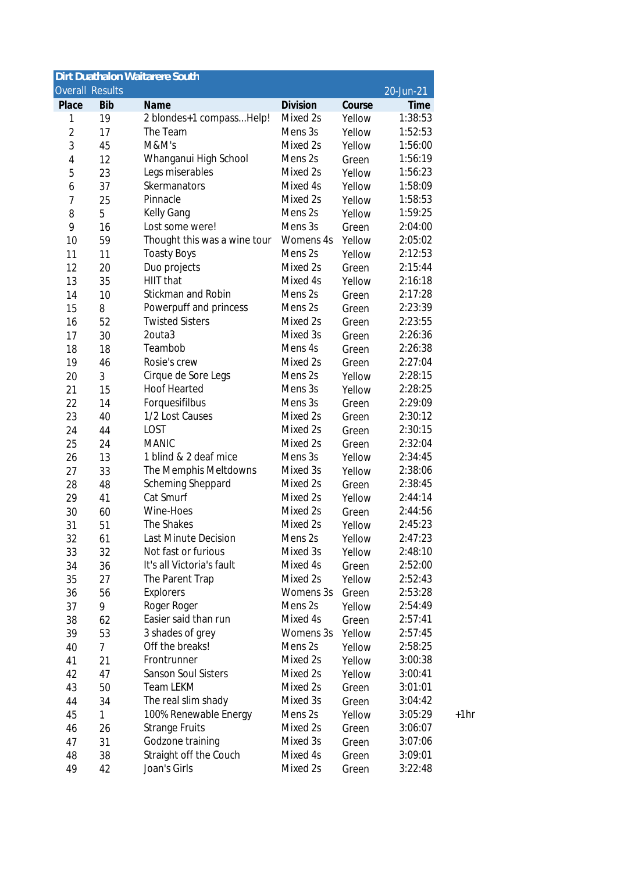| Dirt Duathalon Waitarere South |                        |                              |           |        |           |  |  |  |
|--------------------------------|------------------------|------------------------------|-----------|--------|-----------|--|--|--|
|                                | <b>Overall Results</b> |                              |           |        | 20-Jun-21 |  |  |  |
| Place                          | <b>Bib</b>             | Name                         | Division  | Course | Time      |  |  |  |
| 1                              | 19                     | 2 blondes+1 compassHelp!     | Mixed 2s  | Yellow | 1:38:53   |  |  |  |
| $\overline{2}$                 | 17                     | The Team                     | Mens 3s   | Yellow | 1:52:53   |  |  |  |
| 3                              | 45                     | M&M's                        | Mixed 2s  | Yellow | 1:56:00   |  |  |  |
| 4                              | 12                     | Whanganui High School        | Mens 2s   | Green  | 1:56:19   |  |  |  |
| 5                              | 23                     | Legs miserables              | Mixed 2s  | Yellow | 1:56:23   |  |  |  |
| 6                              | 37                     | Skermanators                 | Mixed 4s  | Yellow | 1:58:09   |  |  |  |
| 7                              | 25                     | Pinnacle                     | Mixed 2s  | Yellow | 1:58:53   |  |  |  |
| 8                              | 5                      | <b>Kelly Gang</b>            | Mens 2s   | Yellow | 1:59:25   |  |  |  |
| 9                              | 16                     | Lost some were!              | Mens 3s   | Green  | 2:04:00   |  |  |  |
| 10                             | 59                     | Thought this was a wine tour | Womens 4s | Yellow | 2:05:02   |  |  |  |
| 11                             | 11                     | <b>Toasty Boys</b>           | Mens 2s   | Yellow | 2:12:53   |  |  |  |
| 12                             | 20                     | Duo projects                 | Mixed 2s  | Green  | 2:15:44   |  |  |  |
| 13                             | 35                     | HIIT that                    | Mixed 4s  | Yellow | 2:16:18   |  |  |  |
| 14                             | 10                     | Stickman and Robin           | Mens 2s   | Green  | 2:17:28   |  |  |  |
| 15                             | 8                      | Powerpuff and princess       | Mens 2s   | Green  | 2:23:39   |  |  |  |
| 16                             | 52                     | <b>Twisted Sisters</b>       | Mixed 2s  | Green  | 2:23:55   |  |  |  |
| 17                             | 30                     | 2outa3                       | Mixed 3s  | Green  | 2:26:36   |  |  |  |
| 18                             | 18                     | Teambob                      | Mens 4s   | Green  | 2:26:38   |  |  |  |
| 19                             | 46                     | Rosie's crew                 | Mixed 2s  | Green  | 2:27:04   |  |  |  |
| 20                             | 3                      | Cirque de Sore Legs          | Mens 2s   | Yellow | 2:28:15   |  |  |  |
| 21                             | 15                     | <b>Hoof Hearted</b>          | Mens 3s   | Yellow | 2:28:25   |  |  |  |
| 22                             | 14                     | Forquesifilbus               | Mens 3s   | Green  | 2:29:09   |  |  |  |
| 23                             | 40                     | 1/2 Lost Causes              | Mixed 2s  | Green  | 2:30:12   |  |  |  |
| 24                             | 44                     | LOST                         | Mixed 2s  | Green  | 2:30:15   |  |  |  |
| 25                             | 24                     | <b>MANIC</b>                 | Mixed 2s  | Green  | 2:32:04   |  |  |  |
| 26                             | 13                     | 1 blind & 2 deaf mice        | Mens 3s   | Yellow | 2:34:45   |  |  |  |
| 27                             | 33                     | The Memphis Meltdowns        | Mixed 3s  | Yellow | 2:38:06   |  |  |  |
| 28                             | 48                     | Scheming Sheppard            | Mixed 2s  | Green  | 2:38:45   |  |  |  |
| 29                             | 41                     | Cat Smurf                    | Mixed 2s  | Yellow | 2:44:14   |  |  |  |
| 30                             | 60                     | Wine-Hoes                    | Mixed 2s  | Green  | 2:44:56   |  |  |  |
| 31                             | 51                     | The Shakes                   | Mixed 2s  | Yellow | 2:45:23   |  |  |  |
| 32                             | 61                     | Last Minute Decision         | Mens 2s   | Yellow | 2:47:23   |  |  |  |
| 33                             | 32                     | Not fast or furious          | Mixed 3s  | Yellow | 2:48:10   |  |  |  |
| 34                             | 36                     | It's all Victoria's fault    | Mixed 4s  | Green  | 2:52:00   |  |  |  |
| 35                             | 27                     | The Parent Trap              | Mixed 2s  | Yellow | 2:52:43   |  |  |  |
| 36                             | 56                     | <b>Explorers</b>             | Womens 3s | Green  | 2:53:28   |  |  |  |
| 37                             | 9                      | Roger Roger                  | Mens 2s   | Yellow | 2:54:49   |  |  |  |
| 38                             | 62                     | Easier said than run         | Mixed 4s  | Green  | 2:57:41   |  |  |  |
| 39                             | 53                     | 3 shades of grey             | Womens 3s | Yellow | 2:57:45   |  |  |  |
| 40                             | $\overline{7}$         | Off the breaks!              | Mens 2s   | Yellow | 2:58:25   |  |  |  |
| 41                             | 21                     | Frontrunner                  | Mixed 2s  | Yellow | 3:00:38   |  |  |  |
| 42                             | 47                     | Sanson Soul Sisters          | Mixed 2s  | Yellow | 3:00:41   |  |  |  |
| 43                             | 50                     | Team LEKM                    | Mixed 2s  | Green  | 3:01:01   |  |  |  |
| 44                             | 34                     | The real slim shady          | Mixed 3s  | Green  | 3:04:42   |  |  |  |
| 45                             | 1                      | 100% Renewable Energy        | Mens 2s   | Yellow | 3:05:29   |  |  |  |
| 46                             | 26                     | <b>Strange Fruits</b>        | Mixed 2s  | Green  | 3:06:07   |  |  |  |
| 47                             | 31                     | Godzone training             | Mixed 3s  | Green  | 3:07:06   |  |  |  |
| 48                             | 38                     | Straight off the Couch       | Mixed 4s  | Green  | 3:09:01   |  |  |  |
|                                |                        | Joan's Girls                 | Mixed 2s  |        |           |  |  |  |
| 49                             | 42                     |                              |           | Green  | 3:22:48   |  |  |  |